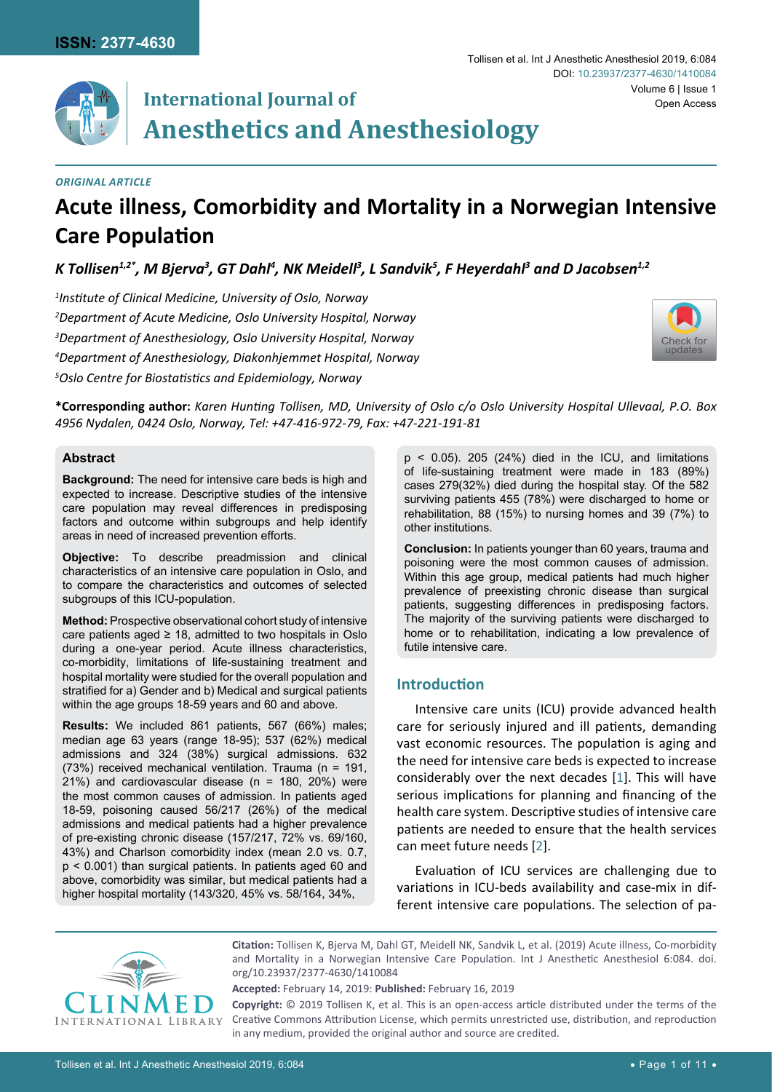

# **International Journal of Anesthetics and Anesthesiology**

## *Original Article*

## **Acute illness, Comorbidity and Mortality in a Norwegian Intensive Care Population**

K Tollisen $^{1,2^*}$ , M Bjerva $^3$ , GT Dahl $^4$ , NK Meidell $^3$ , L Sandvik $^5$ , F Heyerdahl $^3$  and D Jacobsen $^{1,2}$ 

 *Institute of Clinical Medicine, University of Oslo, Norway Department of Acute Medicine, Oslo University Hospital, Norway Department of Anesthesiology, Oslo University Hospital, Norway Department of Anesthesiology, Diakonhjemmet Hospital, Norway Oslo Centre for Biostatistics and Epidemiology, Norway*



**\*Corresponding author:** *Karen Hunting Tollisen, MD, University of Oslo c/o Oslo University Hospital Ullevaal, P.O. Box 4956 Nydalen, 0424 Oslo, Norway, Tel: +47-416-972-79, Fax: +47-221-191-81*

## **Abstract**

**Background:** The need for intensive care beds is high and expected to increase. Descriptive studies of the intensive care population may reveal differences in predisposing factors and outcome within subgroups and help identify areas in need of increased prevention efforts.

**Objective:** To describe preadmission and clinical characteristics of an intensive care population in Oslo, and to compare the characteristics and outcomes of selected subgroups of this ICU-population.

**Method:** Prospective observational cohort study of intensive care patients aged  $\geq$  18, admitted to two hospitals in Oslo during a one-year period. Acute illness characteristics, co-morbidity, limitations of life-sustaining treatment and hospital mortality were studied for the overall population and stratified for a) Gender and b) Medical and surgical patients within the age groups 18-59 years and 60 and above.

**Results:** We included 861 patients, 567 (66%) males; median age 63 years (range 18-95); 537 (62%) medical admissions and 324 (38%) surgical admissions. 632 (73%) received mechanical ventilation. Trauma (n = 191, 21%) and cardiovascular disease (n = 180, 20%) were the most common causes of admission. In patients aged 18-59, poisoning caused 56/217 (26%) of the medical admissions and medical patients had a higher prevalence of pre-existing chronic disease (157/217, 72% vs. 69/160, 43%) and Charlson comorbidity index (mean 2.0 vs. 0.7, p < 0.001) than surgical patients. In patients aged 60 and above, comorbidity was similar, but medical patients had a higher hospital mortality (143/320, 45% vs. 58/164, 34%,

 $p \le 0.05$ ). 205 (24%) died in the ICU, and limitations of life-sustaining treatment were made in 183 (89%) cases 279(32%) died during the hospital stay. Of the 582 surviving patients 455 (78%) were discharged to home or rehabilitation, 88 (15%) to nursing homes and 39 (7%) to other institutions.

**Conclusion:** In patients younger than 60 years, trauma and poisoning were the most common causes of admission. Within this age group, medical patients had much higher prevalence of preexisting chronic disease than surgical patients, suggesting differences in predisposing factors. The majority of the surviving patients were discharged to home or to rehabilitation, indicating a low prevalence of futile intensive care.

## **Introduction**

Intensive care units (ICU) provide advanced health care for seriously injured and ill patients, demanding vast economic resources. The population is aging and the need for intensive care beds is expected to increase considerably over the next decades [[1](#page-8-0)]. This will have serious implications for planning and financing of the health care system. Descriptive studies of intensive care patients are needed to ensure that the health services can meet future needs [[2\]](#page-8-1).

Evaluation of ICU services are challenging due to variations in ICU-beds availability and case-mix in different intensive care populations. The selection of pa-



**Citation:** Tollisen K, Bjerva M, Dahl GT, Meidell NK, Sandvik L, et al. (2019) Acute illness, Co-morbidity and Mortality in a Norwegian Intensive Care Population. Int J Anesthetic Anesthesiol 6:084. [doi.](https://doi.org/10.23937/2377-4630/1410084) [org/10.23937/2377-4630/1410084](https://doi.org/10.23937/2377-4630/1410084)

**Accepted:** February 14, 2019: **Published:** February 16, 2019

**Copyright:** © 2019 Tollisen K, et al. This is an open-access article distributed under the terms of the Creative Commons Attribution License, which permits unrestricted use, distribution, and reproduction in any medium, provided the original author and source are credited.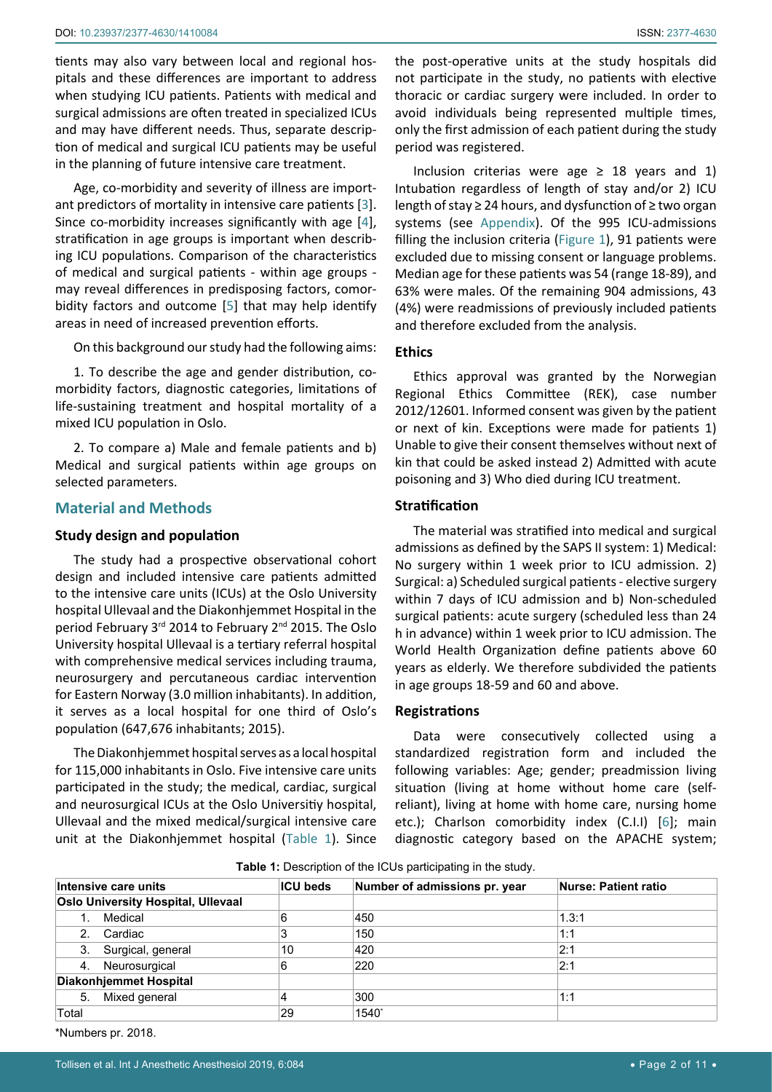tients may also vary between local and regional hospitals and these differences are important to address when studying ICU patients. Patients with medical and surgical admissions are often treated in specialized ICUs and may have different needs. Thus, separate description of medical and surgical ICU patients may be useful in the planning of future intensive care treatment.

Age, co-morbidity and severity of illness are important predictors of mortality in intensive care patients [[3](#page-8-2)]. Since co-morbidity increases significantly with age [[4](#page-8-3)], stratification in age groups is important when describing ICU populations. Comparison of the characteristics of medical and surgical patients - within age groups may reveal differences in predisposing factors, comorbidity factors and outcome [[5](#page-8-4)] that may help identify areas in need of increased prevention efforts.

On this background our study had the following aims:

1. To describe the age and gender distribution, comorbidity factors, diagnostic categories, limitations of life-sustaining treatment and hospital mortality of a mixed ICU population in Oslo.

2. To compare a) Male and female patients and b) Medical and surgical patients within age groups on selected parameters.

## **Material and Methods**

#### **Study design and population**

The study had a prospective observational cohort design and included intensive care patients admitted to the intensive care units (ICUs) at the Oslo University hospital Ullevaal and the Diakonhjemmet Hospital in the period February 3rd 2014 to February 2nd 2015. The Oslo University hospital Ullevaal is a tertiary referral hospital with comprehensive medical services including trauma, neurosurgery and percutaneous cardiac intervention for Eastern Norway (3.0 million inhabitants). In addition, it serves as a local hospital for one third of Oslo's population (647,676 inhabitants; 2015).

The Diakonhjemmet hospital serves as a local hospital for 115,000 inhabitants in Oslo. Five intensive care units participated in the study; the medical, cardiac, surgical and neurosurgical ICUs at the Oslo Universitiy hospital, Ullevaal and the mixed medical/surgical intensive care unit at the Diakonhjemmet hospital ([Table 1\)](#page-1-0). Since the post-operative units at the study hospitals did not participate in the study, no patients with elective thoracic or cardiac surgery were included. In order to avoid individuals being represented multiple times, only the first admission of each patient during the study period was registered.

Inclusion criterias were age  $\geq$  18 years and 1) Intubation regardless of length of stay and/or 2) ICU length of stay ≥ 24 hours, and dysfunction of ≥ two organ systems (see [Appendix\)](#page-10-0). Of the 995 ICU-admissions filling the inclusion criteria ([Figure 1](#page-2-0)), 91 patients were excluded due to missing consent or language problems. Median age for these patients was 54 (range 18-89), and 63% were males. Of the remaining 904 admissions, 43 (4%) were readmissions of previously included patients and therefore excluded from the analysis.

## **Ethics**

Ethics approval was granted by the Norwegian Regional Ethics Committee (REK), case number 2012/12601. Informed consent was given by the patient or next of kin. Exceptions were made for patients 1) Unable to give their consent themselves without next of kin that could be asked instead 2) Admitted with acute poisoning and 3) Who died during ICU treatment.

## **Stratification**

The material was stratified into medical and surgical admissions as defined by the SAPS II system: 1) Medical: No surgery within 1 week prior to ICU admission. 2) Surgical: a) Scheduled surgical patients - elective surgery within 7 days of ICU admission and b) Non-scheduled surgical patients: acute surgery (scheduled less than 24 h in advance) within 1 week prior to ICU admission. The World Health Organization define patients above 60 years as elderly. We therefore subdivided the patients in age groups 18-59 and 60 and above.

#### **Registrations**

Data were consecutively collected using a standardized registration form and included the following variables: Age; gender; preadmission living situation (living at home without home care (selfreliant), living at home with home care, nursing home etc.); Charlson comorbidity index (C.I.I) [[6](#page-9-0)]; main diagnostic category based on the APACHE system;

<span id="page-1-0"></span>

| <b>Table 1:</b> Description of the ICUs participating in the study. |  |  |
|---------------------------------------------------------------------|--|--|
|---------------------------------------------------------------------|--|--|

| Intensive care units |                                           | <b>ICU beds</b> | Number of admissions pr. year | Nurse: Patient ratio |  |
|----------------------|-------------------------------------------|-----------------|-------------------------------|----------------------|--|
|                      | <b>Oslo University Hospital, Ullevaal</b> |                 |                               |                      |  |
|                      | Medical                                   | 6               | 450                           | 1.3:1                |  |
|                      | 2. Cardiac                                | 3               | 150                           | 1:1                  |  |
|                      | 3. Surgical, general                      | 10              | 420                           | 2:1                  |  |
|                      | 4. Neurosurgical                          | 6               | 220                           | 2:1                  |  |
|                      | <b>Diakonhjemmet Hospital</b>             |                 |                               |                      |  |
| 5.                   | Mixed general                             |                 | 300                           | 1:1                  |  |
| Total                |                                           | 29              | 1540*                         |                      |  |

\*Numbers pr. 2018.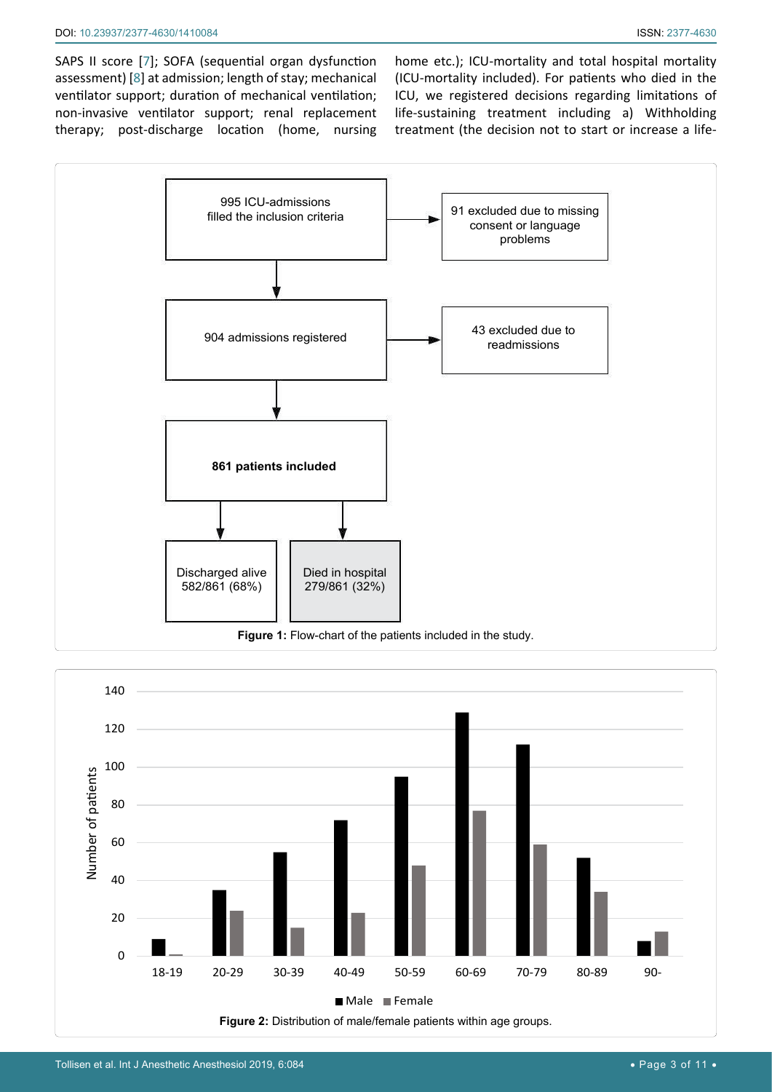SAPS II score [[7](#page-9-1)]; SOFA (sequential organ dysfunction assessment) [[8\]](#page-9-2) at admission; length of stay; mechanical ventilator support; duration of mechanical ventilation; non-invasive ventilator support; renal replacement therapy; post-discharge location (home, nursing

home etc.); ICU-mortality and total hospital mortality (ICU-mortality included). For patients who died in the ICU, we registered decisions regarding limitations of life-sustaining treatment including a) Withholding treatment (the decision not to start or increase a life-

<span id="page-2-0"></span>

<span id="page-2-1"></span>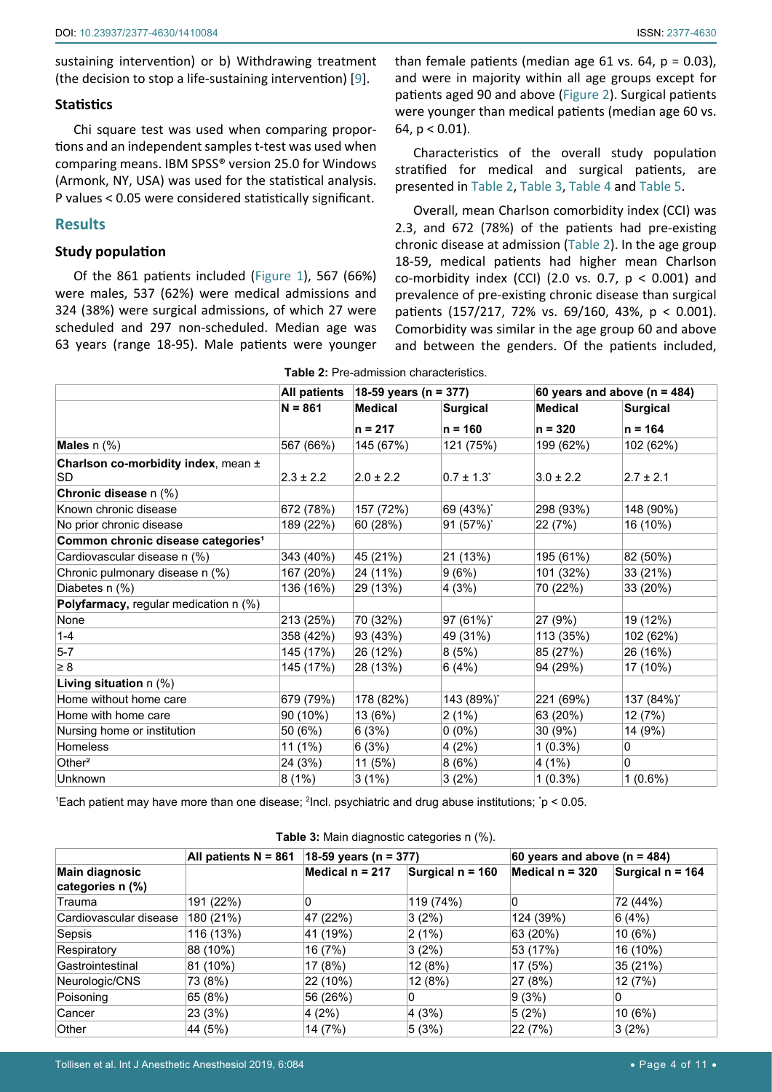sustaining intervention) or b) Withdrawing treatment (the decision to stop a life-sustaining intervention) [[9](#page-9-3)].

## **Statistics**

Chi square test was used when comparing proportions and an independent samples t-test was used when comparing means. IBM SPSS® version 25.0 for Windows (Armonk, NY, USA) was used for the statistical analysis. P values < 0.05 were considered statistically significant.

## **Results**

## **Study population**

Of the 861 patients included ([Figure 1](#page-2-0)), 567 (66%) were males, 537 (62%) were medical admissions and 324 (38%) were surgical admissions, of which 27 were scheduled and 297 non-scheduled. Median age was 63 years (range 18-95). Male patients were younger than female patients (median age 61 vs. 64,  $p = 0.03$ ), and were in majority within all age groups except for patients aged 90 and above ([Figure 2](#page-2-1)). Surgical patients were younger than medical patients (median age 60 vs. 64,  $p < 0.01$ ).

Characteristics of the overall study population stratified for medical and surgical patients, are presented in [Table 2](#page-3-0), [Table 3,](#page-3-1) [Table 4](#page-4-0) and [Table 5](#page-5-0).

Overall, mean Charlson comorbidity index (CCI) was 2.3, and 672 (78%) of the patients had pre-existing chronic disease at admission [\(Table 2\)](#page-3-0). In the age group 18-59, medical patients had higher mean Charlson co-morbidity index (CCI) (2.0 vs. 0.7,  $p < 0.001$ ) and prevalence of pre-existing chronic disease than surgical patients (157/217, 72% vs. 69/160, 43%, p < 0.001). Comorbidity was similar in the age group 60 and above and between the genders. Of the patients included,

|                                                |               | able <b>E.</b> The admission characteristics. |                            |                                  |                 |
|------------------------------------------------|---------------|-----------------------------------------------|----------------------------|----------------------------------|-----------------|
|                                                | All patients  | 18-59 years (n = 377)                         |                            | 60 years and above ( $n = 484$ ) |                 |
|                                                | $N = 861$     | <b>Medical</b>                                | <b>Surgical</b>            | <b>Medical</b>                   | <b>Surgical</b> |
|                                                |               | $n = 217$                                     | $n = 160$                  | $n = 320$                        | $n = 164$       |
| <b>Males</b> $n$ (%)                           | 567 (66%)     | 145 (67%)                                     | 121 (75%)                  | 199 (62%)                        | 102 (62%)       |
| Charlson co-morbidity index, mean ±<br>SD      | $2.3 \pm 2.2$ | $2.0 \pm 2.2$                                 | $0.7 \pm 1.3$ <sup>*</sup> | $3.0 \pm 2.2$                    | $2.7 \pm 2.1$   |
| Chronic disease n (%)                          |               |                                               |                            |                                  |                 |
| Known chronic disease                          | 672 (78%)     | 157 (72%)                                     | 69 (43%)*                  | 298 (93%)                        | 148 (90%)       |
| No prior chronic disease                       | 189 (22%)     | 60 (28%)                                      | 91 (57%)*                  | 22 (7%)                          | 16 (10%)        |
| Common chronic disease categories <sup>1</sup> |               |                                               |                            |                                  |                 |
| Cardiovascular disease n (%)                   | 343 (40%)     | 45 (21%)                                      | 21 (13%)                   | 195 (61%)                        | 82 (50%)        |
| Chronic pulmonary disease n (%)                | 167 (20%)     | 24 (11%)                                      | 9(6%)                      | 101 (32%)                        | 33 (21%)        |
| Diabetes n (%)                                 | 136 (16%)     | 29 (13%)                                      | 4(3%)                      | 70 (22%)                         | 33 (20%)        |
| Polyfarmacy, regular medication n (%)          |               |                                               |                            |                                  |                 |
| None                                           | 213 (25%)     | 70 (32%)                                      | 97 (61%)*                  | 27 (9%)                          | 19 (12%)        |
| $1 - 4$                                        | 358 (42%)     | 93 (43%)                                      | 49 (31%)                   | 113 (35%)                        | 102 (62%)       |
| $5 - 7$                                        | 145 (17%)     | 26 (12%)                                      | 8(5%)                      | 85 (27%)                         | 26 (16%)        |
| $\geq 8$                                       | 145 (17%)     | 28 (13%)                                      | 6(4%)                      | 94 (29%)                         | 17 (10%)        |
| Living situation $n$ (%)                       |               |                                               |                            |                                  |                 |
| Home without home care                         | 679 (79%)     | 178 (82%)                                     | 143 (89%)*                 | 221 (69%)                        | 137 (84%)*      |
| Home with home care                            | 90 (10%)      | 13 (6%)                                       | 2(1%)                      | 63 (20%)                         | 12 (7%)         |
| Nursing home or institution                    | 50 (6%)       | 6(3%)                                         | $0(0\%)$                   | 30(9%)                           | 14 (9%)         |
| Homeless                                       | $11(1\%)$     | 6(3%)                                         | 4(2%)                      | $1(0.3\%)$                       | 0               |
| Other $2$                                      | 24 (3%)       | 11 (5%)                                       | 8(6%)                      | 4(1%)                            | 0               |
| Unknown                                        | 8(1%)         | 3(1%)                                         | 3(2%)                      | $1(0.3\%)$                       | $1(0.6\%)$      |

<span id="page-3-0"></span>**Table 2:** Pre-admission characteristics.

1 Each patient may have more than one disease; <sup>2</sup> Incl. psychiatric and drug abuse institutions; \* p < 0.05.

|                                           | All patients $N = 861$ | 18-59 years (n = 377) |                  | 60 years and above ( $n = 484$ ) |                  |  |
|-------------------------------------------|------------------------|-----------------------|------------------|----------------------------------|------------------|--|
| <b>Main diagnosic</b><br>categories n (%) |                        | Medical $n = 217$     | Surgical n = 160 | Medical n = 320                  | Surgical n = 164 |  |
| Trauma                                    | 191 (22%)              | 0                     | 119 (74%)        | 0                                | 72 (44%)         |  |
| Cardiovascular disease                    | 180 (21%)              | 47 (22%)              | 3(2%)            | 124 (39%)                        | 6(4%)            |  |
| Sepsis                                    | 116 (13%)              | 41 (19%)              | $ 2(1\%)$        | 63 (20%)                         | 10(6%)           |  |
| Respiratory                               | 88 (10%)               | 16 (7%)               | 3(2%)            | 53 (17%)                         | 16 (10%)         |  |
| Gastrointestinal                          | 81 (10%)               | 17 (8%)               | 12(8%)           | 17 (5%)                          | 35 (21%)         |  |
| Neurologic/CNS                            | 73 (8%)                | 22 (10%)              | 12 (8%)          | 27 (8%)                          | 12 (7%)          |  |
| Poisoning                                 | 65 (8%)                | 56 (26%)              | 0                | 9(3%)                            | 0                |  |
| Cancer                                    | 23 (3%)                | 4(2%)                 | 4(3%)            | 5(2%)                            | 10(6%)           |  |
| Other                                     | 44 (5%)                | 14 (7%)               | 5 (3%)           | 22 (7%)                          | 3(2%)            |  |

<span id="page-3-1"></span>**Table 3:** Main diagnostic categories n (%).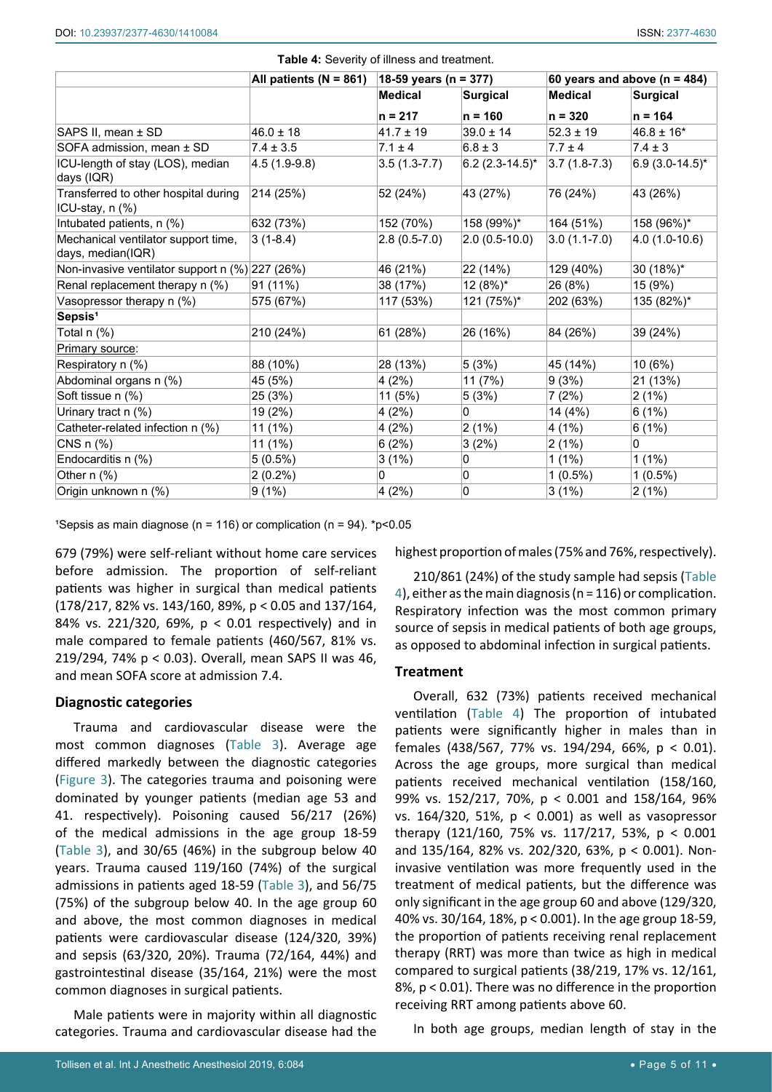|                                                          | All patients ( $N = 861$ ) | 18-59 years (n = 377) |                      | 60 years and above ( $n = 484$ ) |                     |
|----------------------------------------------------------|----------------------------|-----------------------|----------------------|----------------------------------|---------------------|
|                                                          |                            | <b>Medical</b>        | <b>Surgical</b>      | <b>Medical</b>                   | <b>Surgical</b>     |
|                                                          |                            | $n = 217$             | $n = 160$            | $n = 320$                        | $n = 164$           |
| SAPS II, mean ± SD                                       | $46.0 \pm 18$              | $41.7 \pm 19$         | $39.0 \pm 14$        | $52.3 \pm 19$                    | $46.8 \pm 16*$      |
| SOFA admission, mean ± SD                                | $7.4 \pm 3.5$              | $7.1 \pm 4$           | $6.8 \pm 3$          | $7.7 \pm 4$                      | $7.4 \pm 3$         |
| ICU-length of stay (LOS), median<br>days (IQR)           | $4.5(1.9-9.8)$             | $3.5(1.3-7.7)$        | $6.2$ (2.3-14.5)*    | $3.7(1.8-7.3)$                   | $6.9(3.0-14.5)^{*}$ |
| Transferred to other hospital during<br>ICU-stay, n (%)  | 214 (25%)                  | 52 (24%)              | 43 (27%)             | 76 (24%)                         | 43 (26%)            |
| Intubated patients, n (%)                                | 632 (73%)                  | 152 (70%)             | 158 (99%)*           | 164 (51%)                        | 158 (96%)*          |
| Mechanical ventilator support time,<br>days, median(IQR) | $3(1-8.4)$                 | $2.8(0.5-7.0)$        | $(2.0 (0.5 - 10.0))$ | $3.0(1.1-7.0)$                   | $4.0(1.0-10.6)$     |
| Non-invasive ventilator support $n$ (%) 227 (26%)        |                            | 46 (21%)              | 22 (14%)             | 129 (40%)                        | $30(18\%)^*$        |
| Renal replacement therapy n (%)                          | 91 (11%)                   | 38 (17%)              | 12 (8%)*             | 26 (8%)                          | 15 (9%)             |
| Vasopressor therapy n (%)                                | 575 (67%)                  | 117 (53%)             | 121 (75%)*           | 202 (63%)                        | 135 (82%)*          |
| Sepsis <sup>1</sup>                                      |                            |                       |                      |                                  |                     |
| Total n (%)                                              | 210 (24%)                  | 61 (28%)              | 26 (16%)             | 84 (26%)                         | 39 (24%)            |
| Primary source:                                          |                            |                       |                      |                                  |                     |
| Respiratory n (%)                                        | 88 (10%)                   | 28 (13%)              | 5(3%)                | 45 (14%)                         | 10 (6%)             |
| Abdominal organs n (%)                                   | 45 (5%)                    | 4(2%)                 | 11 (7%)              | 9(3%)                            | 21 (13%)            |
| Soft tissue n (%)                                        | 25 (3%)                    | 11 (5%)               | 5(3%)                | 7(2%)                            | 2(1%)               |
| Urinary tract n (%)                                      | 19 (2%)                    | 4(2%)                 | 0                    | 14 (4%)                          | 6(1%)               |
| Catheter-related infection n (%)                         | 11 (1%)                    | 4(2%)                 | 2(1%)                | 4 (1%)                           | 6(1%)               |
| CNS n (%)                                                | 11 (1%)                    | 6(2%)                 | 3(2%)                | 2(1%)                            | 0                   |
| Endocarditis n (%)                                       | $5(0.5\%)$                 | 3(1%)                 | 0                    | $1(1\%)$                         | $1(1\%)$            |
| Other $n$ $%$ )                                          | $2(0.2\%)$                 | 0                     | 0                    | $1(0.5\%)$                       | $1(0.5\%)$          |
| Origin unknown n (%)                                     | 9(1%)                      | 4(2%)                 | 0                    | 3(1%)                            | 2(1%)               |

<span id="page-4-0"></span>**Table 4:** Severity of illness and treatment.

<sup>1</sup>Sepsis as main diagnose (n = 116) or complication (n = 94).  $*p<0.05$ 

679 (79%) were self-reliant without home care services before admission. The proportion of self-reliant patients was higher in surgical than medical patients (178/217, 82% vs. 143/160, 89%, p < 0.05 and 137/164, 84% vs. 221/320, 69%, p < 0.01 respectively) and in male compared to female patients (460/567, 81% vs. 219/294, 74% p < 0.03). Overall, mean SAPS II was 46, and mean SOFA score at admission 7.4.

## **Diagnostic categories**

Trauma and cardiovascular disease were the most common diagnoses [\(Table 3](#page-3-1)). Average age differed markedly between the diagnostic categories ([Figure 3](#page-5-1)). The categories trauma and poisoning were dominated by younger patients (median age 53 and 41. respectively). Poisoning caused 56/217 (26%) of the medical admissions in the age group 18-59 ([Table 3](#page-3-1)), and 30/65 (46%) in the subgroup below 40 years. Trauma caused 119/160 (74%) of the surgical admissions in patients aged 18-59 ([Table 3](#page-3-1)), and 56/75 (75%) of the subgroup below 40. In the age group 60 and above, the most common diagnoses in medical patients were cardiovascular disease (124/320, 39%) and sepsis (63/320, 20%). Trauma (72/164, 44%) and gastrointestinal disease (35/164, 21%) were the most common diagnoses in surgical patients.

Male patients were in majority within all diagnostic categories. Trauma and cardiovascular disease had the highest proportion of males (75% and 76%, respectively).

210/861 (24%) of the study sample had sepsis ([Table](#page-4-0)  [4](#page-4-0)), either as the main diagnosis (n = 116) or complication. Respiratory infection was the most common primary source of sepsis in medical patients of both age groups, as opposed to abdominal infection in surgical patients.

## **Treatment**

Overall, 632 (73%) patients received mechanical ventilation [\(Table 4](#page-4-0)) The proportion of intubated patients were significantly higher in males than in females (438/567, 77% vs. 194/294, 66%, p < 0.01). Across the age groups, more surgical than medical patients received mechanical ventilation (158/160, 99% vs. 152/217, 70%, p < 0.001 and 158/164, 96% vs. 164/320, 51%, p < 0.001) as well as vasopressor therapy (121/160, 75% vs. 117/217, 53%, p < 0.001 and 135/164, 82% vs. 202/320, 63%, p < 0.001). Noninvasive ventilation was more frequently used in the treatment of medical patients, but the difference was only significant in the age group 60 and above (129/320, 40% vs. 30/164, 18%, p < 0.001). In the age group 18-59, the proportion of patients receiving renal replacement therapy (RRT) was more than twice as high in medical compared to surgical patients (38/219, 17% vs. 12/161, 8%, p < 0.01). There was no difference in the proportion receiving RRT among patients above 60.

In both age groups, median length of stay in the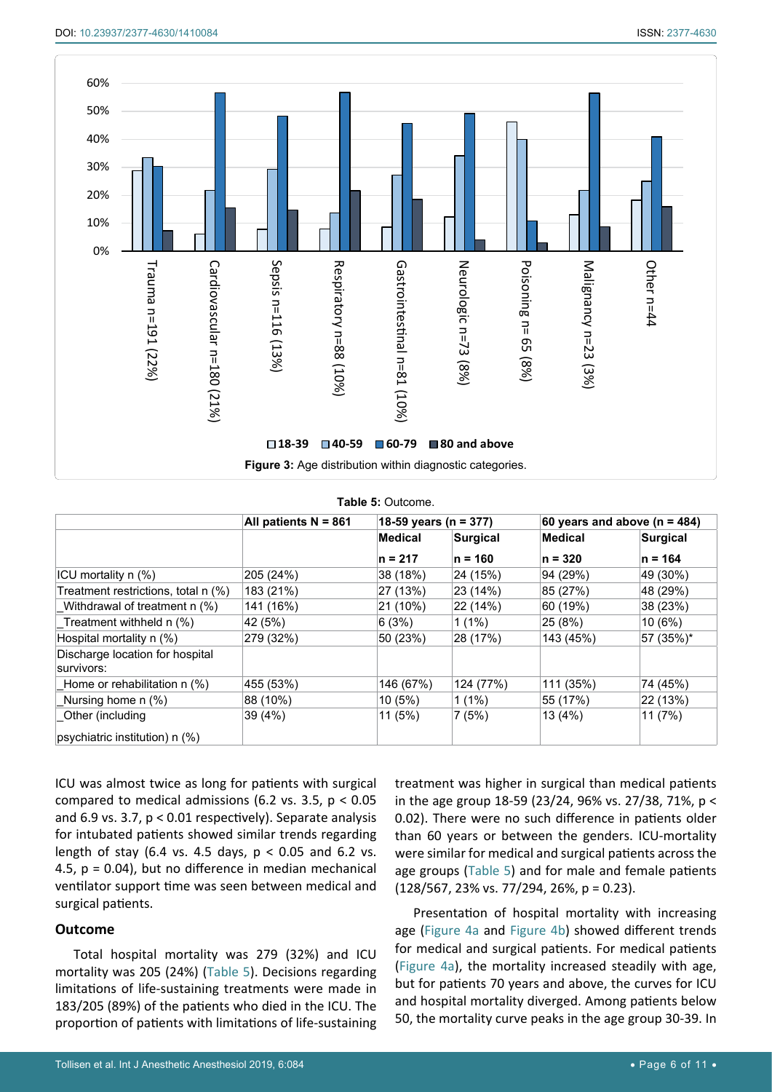<span id="page-5-1"></span>

<span id="page-5-0"></span>

|  |  | Table 5: Outcome. |
|--|--|-------------------|
|--|--|-------------------|

|                                               | All patients N = 861 | 18-59 years (n = 377) |                 | 60 years and above (n = 484) |                 |
|-----------------------------------------------|----------------------|-----------------------|-----------------|------------------------------|-----------------|
|                                               |                      | <b>Medical</b>        | <b>Surgical</b> | Medical                      | <b>Surgical</b> |
|                                               |                      | $n = 217$             | $n = 160$       | $n = 320$                    | $n = 164$       |
| ICU mortality n (%)                           | 205 (24%)            | 38 (18%)              | 24 (15%)        | 94 (29%)                     | 49 (30%)        |
| Treatment restrictions, total n (%)           | 183 (21%)            | 27 (13%)              | 23(14%)         | 85 (27%)                     | 48 (29%)        |
| Withdrawal of treatment n (%)                 | 141 (16%)            | 21 (10%)              | 22 (14%)        | 60 (19%)                     | 38 (23%)        |
| Treatment withheld n (%)                      | 42 (5%)              | 6(3%)                 | $1(1\%)$        | 25 (8%)                      | 10(6%)          |
| Hospital mortality n (%)                      | 279 (32%)            | 50 (23%)              | 28 (17%)        | 143 (45%)                    | 57 (35%)*       |
| Discharge location for hospital<br>survivors: |                      |                       |                 |                              |                 |
| Home or rehabilitation $n$ (%)                | 455 (53%)            | 146 (67%)             | 124 (77%)       | 111 (35%)                    | 74 (45%)        |
| Nursing home n (%)                            | 88 (10%)             | 10(5%)                | $1(1\%)$        | 55 (17%)                     | 22 (13%)        |
| Other (including                              | 39 (4%)              | 11 (5%)               | 7(5%)           | 13 (4%)                      | 11 (7%)         |
| (%) psychiatric institution) n                |                      |                       |                 |                              |                 |

ICU was almost twice as long for patients with surgical compared to medical admissions (6.2 vs. 3.5,  $p < 0.05$ ) and 6.9 vs. 3.7, p < 0.01 respectively). Separate analysis for intubated patients showed similar trends regarding length of stay (6.4 vs. 4.5 days,  $p < 0.05$  and 6.2 vs. 4.5,  $p = 0.04$ ), but no difference in median mechanical ventilator support time was seen between medical and surgical patients.

## **Outcome**

Total hospital mortality was 279 (32%) and ICU mortality was 205 (24%) ([Table 5](#page-5-0)). Decisions regarding limitations of life-sustaining treatments were made in 183/205 (89%) of the patients who died in the ICU. The proportion of patients with limitations of life-sustaining treatment was higher in surgical than medical patients in the age group 18-59 (23/24, 96% vs. 27/38, 71%, p < 0.02). There were no such difference in patients older than 60 years or between the genders. ICU-mortality were similar for medical and surgical patients across the age groups ([Table 5](#page-5-0)) and for male and female patients  $(128/567, 23\% \text{ vs. } 77/294, 26\%, \text{ p} = 0.23).$ 

Presentation of hospital mortality with increasing age ([Figure 4a](#page-6-0) and [Figure 4b](#page-6-0)) showed different trends for medical and surgical patients. For medical patients ([Figure 4a](#page-6-0)), the mortality increased steadily with age, but for patients 70 years and above, the curves for ICU and hospital mortality diverged. Among patients below 50, the mortality curve peaks in the age group 30-39. In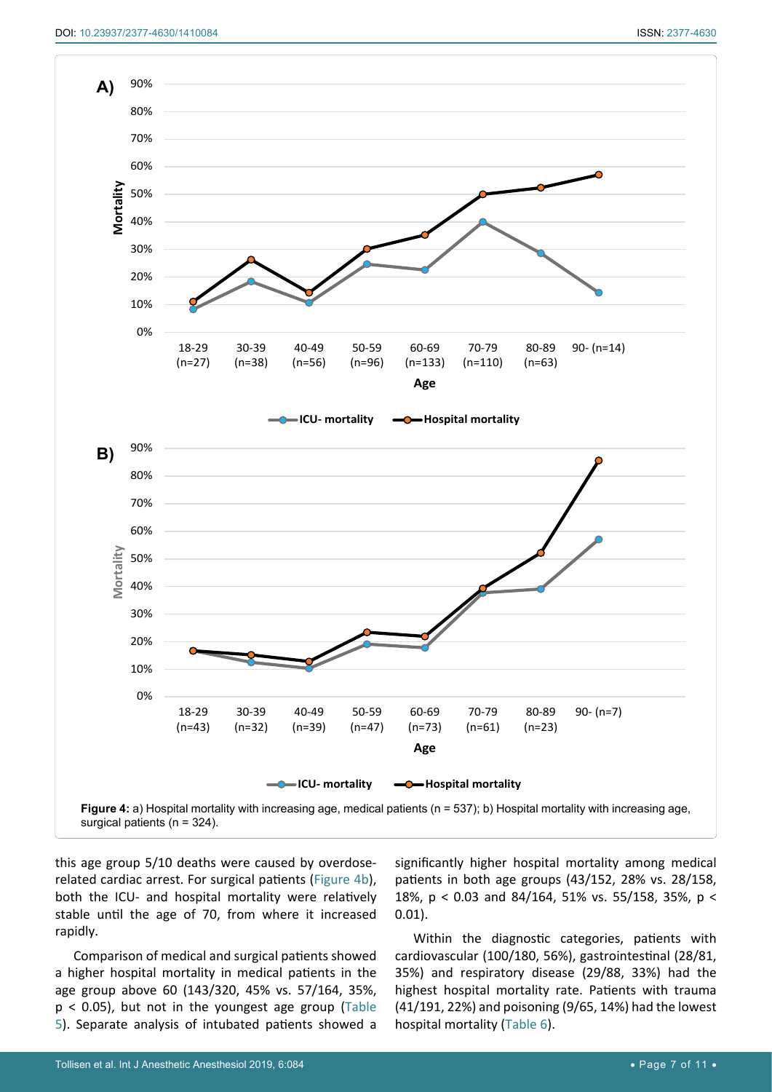<span id="page-6-0"></span>

this age group 5/10 deaths were caused by overdoserelated cardiac arrest. For surgical patients [\(Figure 4b](#page-6-0)), both the ICU- and hospital mortality were relatively stable until the age of 70, from where it increased rapidly.

Comparison of medical and surgical patients showed a higher hospital mortality in medical patients in the age group above 60 (143/320, 45% vs. 57/164, 35%,  $p < 0.05$ ), but not in the youngest age group (Table [5](#page-5-0)). Separate analysis of intubated patients showed a significantly higher hospital mortality among medical patients in both age groups (43/152, 28% vs. 28/158, 18%, p < 0.03 and 84/164, 51% vs. 55/158, 35%, p < 0.01).

Within the diagnostic categories, patients with cardiovascular (100/180, 56%), gastrointestinal (28/81, 35%) and respiratory disease (29/88, 33%) had the highest hospital mortality rate. Patients with trauma (41/191, 22%) and poisoning (9/65, 14%) had the lowest hospital mortality ([Table 6](#page-7-0)).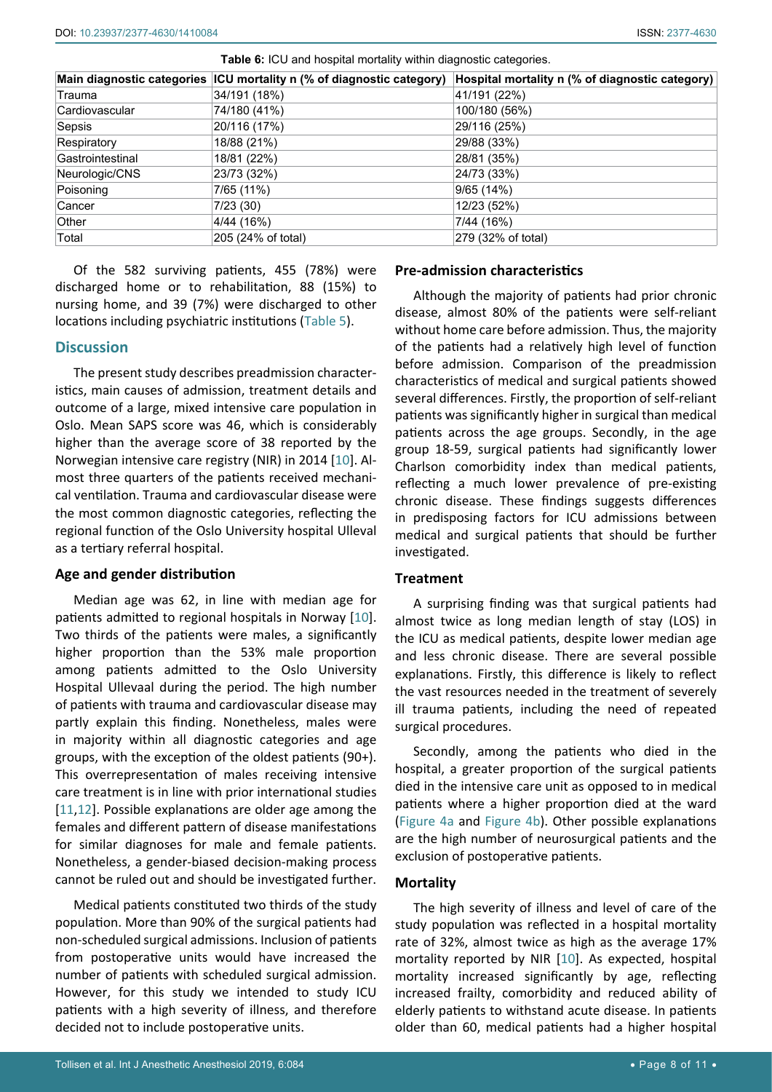|                  | Main diagnostic categories ICU mortality n (% of diagnostic category) | Hospital mortality n (% of diagnostic category) |
|------------------|-----------------------------------------------------------------------|-------------------------------------------------|
| Trauma           | 34/191 (18%)                                                          | 41/191 (22%)                                    |
| Cardiovascular   | 74/180 (41%)                                                          | 100/180 (56%)                                   |
| Sepsis           | 20/116 (17%)                                                          | 29/116 (25%)                                    |
| Respiratory      | 18/88 (21%)                                                           | 29/88 (33%)                                     |
| Gastrointestinal | 18/81 (22%)                                                           | 28/81 (35%)                                     |
| Neurologic/CNS   | 23/73 (32%)                                                           | 24/73 (33%)                                     |
| Poisoning        | 7/65 (11%)                                                            | 9/65 (14%)                                      |
| Cancer           | 7/23(30)                                                              | 12/23 (52%)                                     |
| Other            | 4/44 (16%)                                                            | 7/44 (16%)                                      |
| Total            | 205 (24% of total)                                                    | 279 (32% of total)                              |

<span id="page-7-0"></span>**Table 6:** ICU and hospital mortality within diagnostic categories.

Of the 582 surviving patients, 455 (78%) were discharged home or to rehabilitation, 88 (15%) to nursing home, and 39 (7%) were discharged to other locations including psychiatric institutions ([Table 5](#page-5-0)).

## **Discussion**

The present study describes preadmission characteristics, main causes of admission, treatment details and outcome of a large, mixed intensive care population in Oslo. Mean SAPS score was 46, which is considerably higher than the average score of 38 reported by the Norwegian intensive care registry (NIR) in 2014 [[10\]](#page-9-4). Almost three quarters of the patients received mechanical ventilation. Trauma and cardiovascular disease were the most common diagnostic categories, reflecting the regional function of the Oslo University hospital Ulleval as a tertiary referral hospital.

## **Age and gender distribution**

Median age was 62, in line with median age for patients admitted to regional hospitals in Norway [[10](#page-9-4)]. Two thirds of the patients were males, a significantly higher proportion than the 53% male proportion among patients admitted to the Oslo University Hospital Ullevaal during the period. The high number of patients with trauma and cardiovascular disease may partly explain this finding. Nonetheless, males were in majority within all diagnostic categories and age groups, with the exception of the oldest patients (90+). This overrepresentation of males receiving intensive care treatment is in line with prior international studies [[11](#page-9-5),[12](#page-9-6)]. Possible explanations are older age among the females and different pattern of disease manifestations for similar diagnoses for male and female patients. Nonetheless, a gender-biased decision-making process cannot be ruled out and should be investigated further.

Medical patients constituted two thirds of the study population. More than 90% of the surgical patients had non-scheduled surgical admissions. Inclusion of patients from postoperative units would have increased the number of patients with scheduled surgical admission. However, for this study we intended to study ICU patients with a high severity of illness, and therefore decided not to include postoperative units.

## **Pre-admission characteristics**

Although the majority of patients had prior chronic disease, almost 80% of the patients were self-reliant without home care before admission. Thus, the majority of the patients had a relatively high level of function before admission. Comparison of the preadmission characteristics of medical and surgical patients showed several differences. Firstly, the proportion of self-reliant patients was significantly higher in surgical than medical patients across the age groups. Secondly, in the age group 18-59, surgical patients had significantly lower Charlson comorbidity index than medical patients, reflecting a much lower prevalence of pre-existing chronic disease. These findings suggests differences in predisposing factors for ICU admissions between medical and surgical patients that should be further investigated.

### **Treatment**

A surprising finding was that surgical patients had almost twice as long median length of stay (LOS) in the ICU as medical patients, despite lower median age and less chronic disease. There are several possible explanations. Firstly, this difference is likely to reflect the vast resources needed in the treatment of severely ill trauma patients, including the need of repeated surgical procedures.

Secondly, among the patients who died in the hospital, a greater proportion of the surgical patients died in the intensive care unit as opposed to in medical patients where a higher proportion died at the ward ([Figure 4a](#page-6-0) and [Figure 4b\)](#page-6-0). Other possible explanations are the high number of neurosurgical patients and the exclusion of postoperative patients.

## **Mortality**

The high severity of illness and level of care of the study population was reflected in a hospital mortality rate of 32%, almost twice as high as the average 17% mortality reported by NIR [[10](#page-9-4)]. As expected, hospital mortality increased significantly by age, reflecting increased frailty, comorbidity and reduced ability of elderly patients to withstand acute disease. In patients older than 60, medical patients had a higher hospital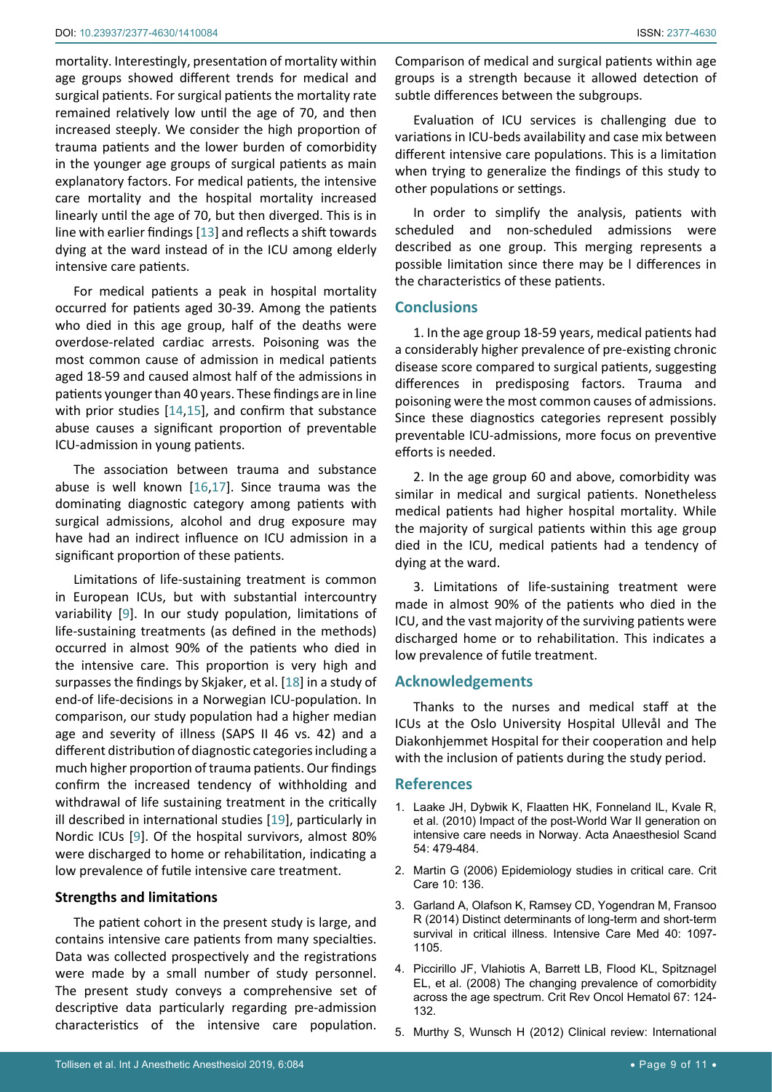mortality. Interestingly, presentation of mortality within age groups showed different trends for medical and surgical patients. For surgical patients the mortality rate remained relatively low until the age of 70, and then increased steeply. We consider the high proportion of trauma patients and the lower burden of comorbidity in the younger age groups of surgical patients as main explanatory factors. For medical patients, the intensive care mortality and the hospital mortality increased linearly until the age of 70, but then diverged. This is in line with earlier findings [[13](#page-9-5)] and reflects a shift towards dying at the ward instead of in the ICU among elderly intensive care patients.

For medical patients a peak in hospital mortality occurred for patients aged 30-39. Among the patients who died in this age group, half of the deaths were overdose-related cardiac arrests. Poisoning was the most common cause of admission in medical patients aged 18-59 and caused almost half of the admissions in patients younger than 40 years. These findings are in line with prior studies [\[14](#page-9-6),[15](#page-9-7)], and confirm that substance abuse causes a significant proportion of preventable ICU-admission in young patients.

The association between trauma and substance abuse is well known [\[16](#page-9-8)[,17](#page-9-9)]. Since trauma was the dominating diagnostic category among patients with surgical admissions, alcohol and drug exposure may have had an indirect influence on ICU admission in a significant proportion of these patients.

Limitations of life-sustaining treatment is common in European ICUs, but with substantial intercountry variability [[9](#page-9-3)]. In our study population, limitations of life-sustaining treatments (as defined in the methods) occurred in almost 90% of the patients who died in the intensive care. This proportion is very high and surpasses the findings by Skjaker, et al. [\[18](#page-9-10)] in a study of end-of life-decisions in a Norwegian ICU-population. In comparison, our study population had a higher median age and severity of illness (SAPS II 46 vs. 42) and a different distribution of diagnostic categories including a much higher proportion of trauma patients. Our findings confirm the increased tendency of withholding and withdrawal of life sustaining treatment in the critically ill described in international studies [[19](#page-9-11)], particularly in Nordic ICUs [[9](#page-9-3)]. Of the hospital survivors, almost 80% were discharged to home or rehabilitation, indicating a low prevalence of futile intensive care treatment.

#### **Strengths and limitations**

The patient cohort in the present study is large, and contains intensive care patients from many specialties. Data was collected prospectively and the registrations were made by a small number of study personnel. The present study conveys a comprehensive set of descriptive data particularly regarding pre-admission characteristics of the intensive care population.

Comparison of medical and surgical patients within age groups is a strength because it allowed detection of subtle differences between the subgroups.

Evaluation of ICU services is challenging due to variations in ICU-beds availability and case mix between different intensive care populations. This is a limitation when trying to generalize the findings of this study to other populations or settings.

In order to simplify the analysis, patients with scheduled and non-scheduled admissions were described as one group. This merging represents a possible limitation since there may be l differences in the characteristics of these patients.

## **Conclusions**

1. In the age group 18-59 years, medical patients had a considerably higher prevalence of pre-existing chronic disease score compared to surgical patients, suggesting differences in predisposing factors. Trauma and poisoning were the most common causes of admissions. Since these diagnostics categories represent possibly preventable ICU-admissions, more focus on preventive efforts is needed.

2. In the age group 60 and above, comorbidity was similar in medical and surgical patients. Nonetheless medical patients had higher hospital mortality. While the majority of surgical patients within this age group died in the ICU, medical patients had a tendency of dying at the ward.

3. Limitations of life-sustaining treatment were made in almost 90% of the patients who died in the ICU, and the vast majority of the surviving patients were discharged home or to rehabilitation. This indicates a low prevalence of futile treatment.

## **Acknowledgements**

Thanks to the nurses and medical staff at the ICUs at the Oslo University Hospital Ullevål and The Diakonhjemmet Hospital for their cooperation and help with the inclusion of patients during the study period.

#### **References**

- <span id="page-8-0"></span>1. [Laake JH, Dybwik K, Flaatten HK, Fonneland IL, Kvale R,](https://www.ncbi.nlm.nih.gov/pubmed/19930244)  [et al. \(2010\) Impact of the post-World War II generation on](https://www.ncbi.nlm.nih.gov/pubmed/19930244)  [intensive care needs in Norway. Acta Anaesthesiol Scand](https://www.ncbi.nlm.nih.gov/pubmed/19930244)  [54: 479-484.](https://www.ncbi.nlm.nih.gov/pubmed/19930244)
- <span id="page-8-1"></span>2. [Martin G \(2006\) Epidemiology studies in critical care. Crit](https://www.ncbi.nlm.nih.gov/pmc/articles/PMC1550877/)  [Care 10: 136.](https://www.ncbi.nlm.nih.gov/pmc/articles/PMC1550877/)
- <span id="page-8-2"></span>3. [Garland A, Olafson K, Ramsey CD, Yogendran M, Fransoo](https://www.ncbi.nlm.nih.gov/pubmed/25011575)  [R \(2014\) Distinct determinants of long-term and short-term](https://www.ncbi.nlm.nih.gov/pubmed/25011575)  [survival in critical illness. Intensive Care Med 40: 1097-](https://www.ncbi.nlm.nih.gov/pubmed/25011575) [1105.](https://www.ncbi.nlm.nih.gov/pubmed/25011575)
- <span id="page-8-3"></span>4. [Piccirillo JF, Vlahiotis A, Barrett LB, Flood KL, Spitznagel](https://www.ncbi.nlm.nih.gov/pubmed/18375141)  [EL, et al. \(2008\) The changing prevalence of comorbidity](https://www.ncbi.nlm.nih.gov/pubmed/18375141)  [across the age spectrum. Crit Rev Oncol Hematol 67: 124-](https://www.ncbi.nlm.nih.gov/pubmed/18375141) [132.](https://www.ncbi.nlm.nih.gov/pubmed/18375141)
- <span id="page-8-4"></span>5. [Murthy S, Wunsch H \(2012\) Clinical review: International](https://www.ncbi.nlm.nih.gov/pubmed/22546146)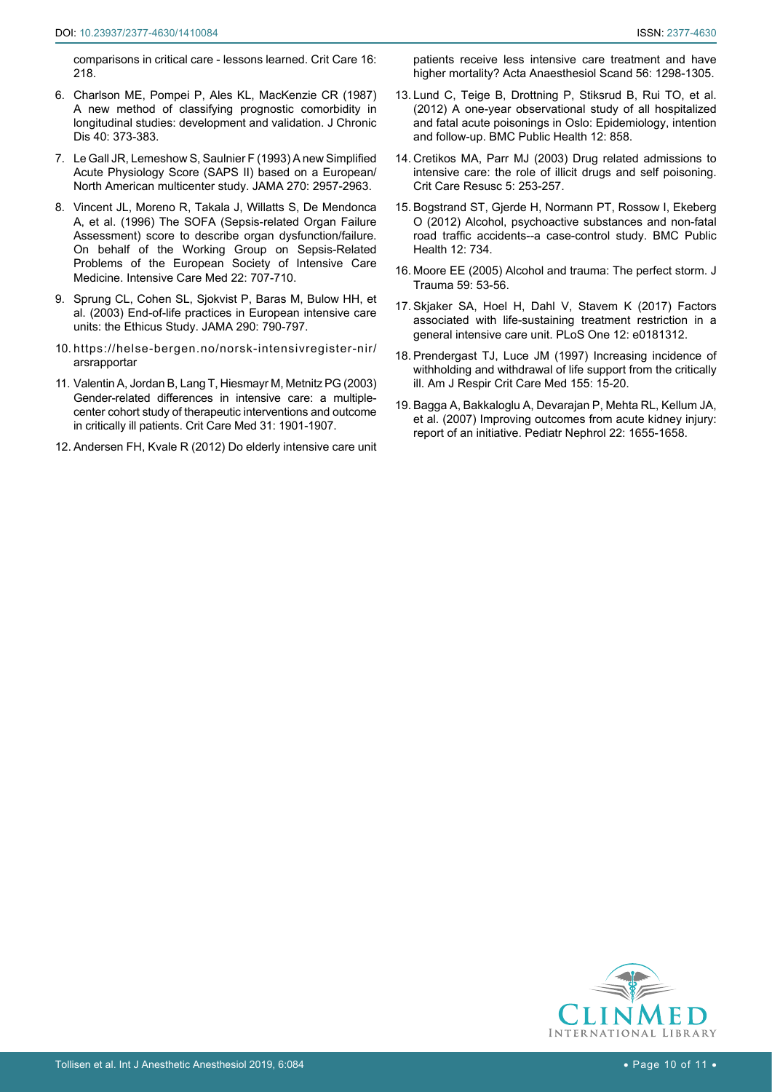<span id="page-9-0"></span>[comparisons in critical care - lessons learned. Crit Care 16:](https://www.ncbi.nlm.nih.gov/pubmed/22546146)  [218.](https://www.ncbi.nlm.nih.gov/pubmed/22546146)

- 6. [Charlson ME, Pompei P, Ales KL, MacKenzie CR \(1987\)](https://www.ncbi.nlm.nih.gov/pubmed/3558716)  [A new method of classifying prognostic comorbidity in](https://www.ncbi.nlm.nih.gov/pubmed/3558716)  [longitudinal studies: development and validation. J Chronic](https://www.ncbi.nlm.nih.gov/pubmed/3558716)  [Dis 40: 373-383.](https://www.ncbi.nlm.nih.gov/pubmed/3558716)
- <span id="page-9-1"></span>7. [Le Gall JR, Lemeshow S, Saulnier F \(1993\) A new Simplified](https://www.ncbi.nlm.nih.gov/pubmed/8254858)  [Acute Physiology Score \(SAPS II\) based on a European/](https://www.ncbi.nlm.nih.gov/pubmed/8254858) [North American multicenter study. JAMA 270: 2957-2963.](https://www.ncbi.nlm.nih.gov/pubmed/8254858)
- <span id="page-9-2"></span>8. [Vincent JL, Moreno R, Takala J, Willatts S, De Mendonca](https://www.ncbi.nlm.nih.gov/pubmed/8844239)  [A, et al. \(1996\) The SOFA \(Sepsis-related Organ Failure](https://www.ncbi.nlm.nih.gov/pubmed/8844239)  [Assessment\) score to describe organ dysfunction/failure.](https://www.ncbi.nlm.nih.gov/pubmed/8844239)  [On behalf of the Working Group on Sepsis-Related](https://www.ncbi.nlm.nih.gov/pubmed/8844239)  [Problems of the European Society of Intensive Care](https://www.ncbi.nlm.nih.gov/pubmed/8844239)  [Medicine. Intensive Care Med 22: 707-710.](https://www.ncbi.nlm.nih.gov/pubmed/8844239)
- <span id="page-9-3"></span>9. [Sprung CL, Cohen SL, Sjokvist P, Baras M, Bulow HH, et](https://www.ncbi.nlm.nih.gov/pubmed/12915432)  [al. \(2003\) End-of-life practices in European intensive care](https://www.ncbi.nlm.nih.gov/pubmed/12915432)  [units: the Ethicus Study. JAMA 290: 790-797.](https://www.ncbi.nlm.nih.gov/pubmed/12915432)
- <span id="page-9-4"></span>10. [https://helse-bergen.no/norsk-intensivregister-nir/](https://helse-bergen.no/norsk-intensivregister-nir/arsrapportar) [arsrapportar](https://helse-bergen.no/norsk-intensivregister-nir/arsrapportar)
- <span id="page-9-5"></span>11. [Valentin A, Jordan B, Lang T, Hiesmayr M, Metnitz PG \(2003\)](https://www.ncbi.nlm.nih.gov/pubmed/12847381)  [Gender-related differences in intensive care: a multiple](https://www.ncbi.nlm.nih.gov/pubmed/12847381)[center cohort study of therapeutic interventions and outcome](https://www.ncbi.nlm.nih.gov/pubmed/12847381)  [in critically ill patients. Crit Care Med 31: 1901-1907.](https://www.ncbi.nlm.nih.gov/pubmed/12847381)
- <span id="page-9-6"></span>12. [Andersen FH, Kvale R \(2012\) Do elderly intensive care unit](https://www.ncbi.nlm.nih.gov/pubmed/23016991)

[patients receive less intensive care treatment and have](https://www.ncbi.nlm.nih.gov/pubmed/23016991)  [higher mortality? Acta Anaesthesiol Scand 56: 1298-1305.](https://www.ncbi.nlm.nih.gov/pubmed/23016991)

- <span id="page-9-7"></span>13. [Lund C, Teige B, Drottning P, Stiksrud B, Rui TO, et al.](https://www.ncbi.nlm.nih.gov/pubmed/23046743)  [\(2012\) A one-year observational study of all hospitalized](https://www.ncbi.nlm.nih.gov/pubmed/23046743)  [and fatal acute poisonings in Oslo: Epidemiology, intention](https://www.ncbi.nlm.nih.gov/pubmed/23046743)  [and follow-up. BMC Public Health 12: 858.](https://www.ncbi.nlm.nih.gov/pubmed/23046743)
- <span id="page-9-8"></span>14. [Cretikos MA, Parr MJ \(2003\) Drug related admissions to](https://www.ncbi.nlm.nih.gov/pubmed/16563114)  [intensive care: the role of illicit drugs and self poisoning.](https://www.ncbi.nlm.nih.gov/pubmed/16563114)  [Crit Care Resusc 5: 253-257.](https://www.ncbi.nlm.nih.gov/pubmed/16563114)
- <span id="page-9-9"></span>15. [Bogstrand ST, Gjerde H, Normann PT, Rossow I, Ekeberg](https://www.ncbi.nlm.nih.gov/pubmed/22943663)  [O \(2012\) Alcohol, psychoactive substances and non-fatal](https://www.ncbi.nlm.nih.gov/pubmed/22943663)  [road traffic accidents--a case-control study. BMC Public](https://www.ncbi.nlm.nih.gov/pubmed/22943663)  [Health 12: 734.](https://www.ncbi.nlm.nih.gov/pubmed/22943663)
- <span id="page-9-10"></span>16. [Moore EE \(2005\) Alcohol and trauma: The perfect storm. J](https://www.ncbi.nlm.nih.gov/pubmed/16355063)  [Trauma 59: 53-56.](https://www.ncbi.nlm.nih.gov/pubmed/16355063)
- <span id="page-9-11"></span>17. [Skjaker SA, Hoel H, Dahl V, Stavem K \(2017\) Factors](https://www.ncbi.nlm.nih.gov/pubmed/28719660)  [associated with life-sustaining treatment restriction in a](https://www.ncbi.nlm.nih.gov/pubmed/28719660)  [general intensive care unit. PLoS One 12: e0181312.](https://www.ncbi.nlm.nih.gov/pubmed/28719660)
- <span id="page-9-12"></span>18. [Prendergast TJ, Luce JM \(1997\) Increasing incidence of](https://www.ncbi.nlm.nih.gov/pubmed/9001282)  [withholding and withdrawal of life support from the critically](https://www.ncbi.nlm.nih.gov/pubmed/9001282)  [ill. Am J Respir Crit Care Med 155: 15-20.](https://www.ncbi.nlm.nih.gov/pubmed/9001282)
- 19. [Bagga A, Bakkaloglu A, Devarajan P, Mehta RL, Kellum JA,](https://www.ncbi.nlm.nih.gov/pubmed/17665221)  [et al. \(2007\) Improving outcomes from acute kidney injury:](https://www.ncbi.nlm.nih.gov/pubmed/17665221)  [report of an initiative. Pediatr Nephrol 22: 1655-1658.](https://www.ncbi.nlm.nih.gov/pubmed/17665221)